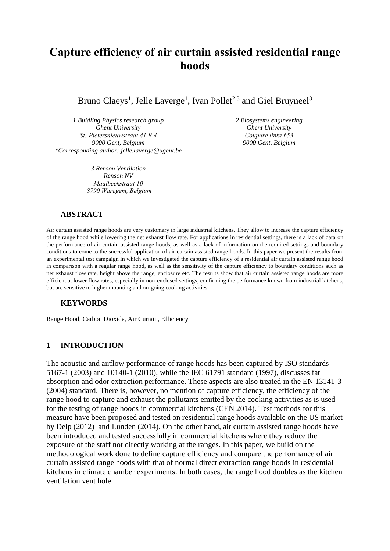# **Capture efficiency of air curtain assisted residential range hoods**

Bruno Claeys<sup>1</sup>, Jelle Laverge<sup>1</sup>, Ivan Pollet<sup>2,3</sup> and Giel Bruyneel<sup>3</sup>

*1 Buidling Physics research group Ghent University St.-Pietersnieuwstraat 41 B 4 9000 Gent, Belgium \*Corresponding author: jelle.laverge@ugent.be*

> *3 Renson Ventilation Renson NV Maalbeekstraat 10 8790 Waregem, Belgium*

*2 Biosystems engineering Ghent University Coupure links 653 9000 Gent, Belgium*

#### **ABSTRACT**

Air curtain assisted range hoods are very customary in large industrial kitchens. They allow to increase the capture efficiency of the range hood while lowering the net exhaust flow rate. For applications in residential settings, there is a lack of data on the performance of air curtain assisted range hoods, as well as a lack of information on the required settings and boundary conditions to come to the successful application of air curtain assisted range hoods. In this paper we present the results from an experimental test campaign in which we investigated the capture efficiency of a residential air curtain assisted range hood in comparison with a regular range hood, as well as the sensitivity of the capture efficiency to boundary conditions such as net exhaust flow rate, height above the range, enclosure etc. The results show that air curtain assisted range hoods are more efficient at lower flow rates, especially in non-enclosed settings, confirming the performance known from industrial kitchens, but are sensitive to higher mounting and on-going cooking activities.

### **KEYWORDS**

Range Hood, Carbon Dioxide, Air Curtain, Efficiency

### **1 INTRODUCTION**

The acoustic and airflow performance of range hoods has been captured by ISO standards 5167-1 (2003) and 10140-1 (2010), while the IEC 61791 standard (1997), discusses fat absorption and odor extraction performance. These aspects are also treated in the EN 13141-3 (2004) standard. There is, however, no mention of capture efficiency, the efficiency of the range hood to capture and exhaust the pollutants emitted by the cooking activities as is used for the testing of range hoods in commercial kitchens (CEN 2014). Test methods for this measure have been proposed and tested on residential range hoods available on the US market by Delp (2012) and Lunden (2014). On the other hand, air curtain assisted range hoods have been introduced and tested successfully in commercial kitchens where they reduce the exposure of the staff not directly working at the ranges. In this paper, we build on the methodological work done to define capture efficiency and compare the performance of air curtain assisted range hoods with that of normal direct extraction range hoods in residential kitchens in climate chamber experiments. In both cases, the range hood doubles as the kitchen ventilation vent hole.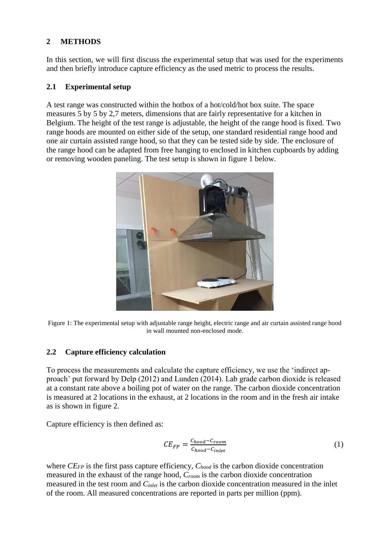# **2 METHODS**

In this section, we will first discuss the experimental setup that was used for the experiments and then briefly introduce capture efficiency as the used metric to process the results.

### **2.1 Experimental setup**

A test range was constructed within the hotbox of a hot/cold/hot box suite. The space measures 5 by 5 by 2,7 meters, dimensions that are fairly representative for a kitchen in Belgium. The height of the test range is adjustable, the height of the range hood is fixed. Two range hoods are mounted on either side of the setup, one standard residential range hood and one air curtain assisted range hood, so that they can be tested side by side. The enclosure of the range hood can be adapted from free hanging to enclosed in kitchen cupboards by adding or removing wooden paneling. The test setup is shown in figure 1 below.



Figure 1: The experimental setup with adjustable range height, electric range and air curtain assisted range hood in wall mounted non-enclosed mode.

### **2.2 Capture efficiency calculation**

To process the measurements and calculate the capture efficiency, we use the 'indirect approach' put forward by Delp (2012) and Lunden (2014). Lab grade carbon dioxide is released at a constant rate above a boiling pot of water on the range. The carbon dioxide concentration is measured at 2 locations in the exhaust, at 2 locations in the room and in the fresh air intake as is shown in figure 2.

Capture efficiency is then defined as:

$$
CE_{FP} = \frac{C_{hood} - C_{room}}{C_{hood} - C_{inlet}}\tag{1}
$$

where *CEFP* is the first pass capture efficiency, *Chood* is the carbon dioxide concentration measured in the exhaust of the range hood, *Croom* is the carbon dioxide concentration measured in the test room and *Cinlet* is the carbon dioxide concentration measured in the inlet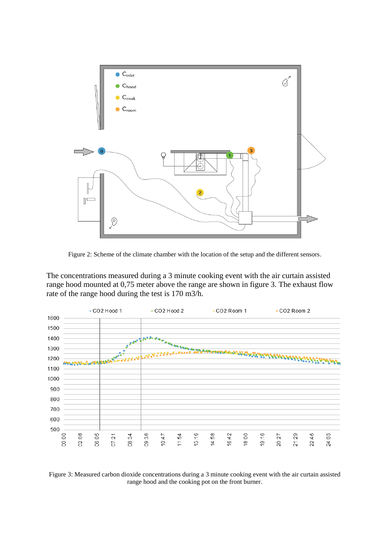

Figure 2: Scheme of the climate chamber with the location of the setup and the different sensors.

The concentrations measured during a 3 minute cooking event with the air curtain assisted range hood mounted at 0,75 meter above the range are shown in figure 3. The exhaust flow rate of the range hood during the test is 170 m3/h.



Figure 3: Measured carbon dioxide concentrations during a 3 minute cooking event with the air curtain assisted range hood and the cooking pot on the front burner.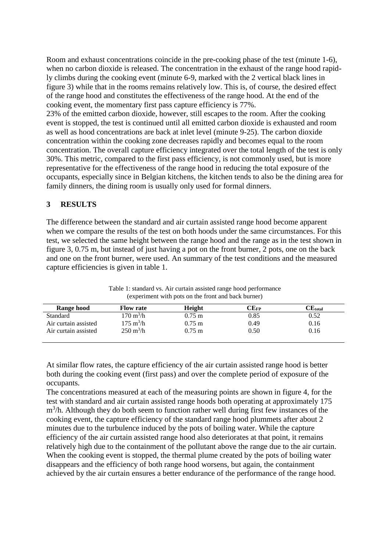Room and exhaust concentrations coincide in the pre-cooking phase of the test (minute 1-6), when no carbon dioxide is released. The concentration in the exhaust of the range hood rapidly climbs during the cooking event (minute 6-9, marked with the 2 vertical black lines in figure 3) while that in the rooms remains relatively low. This is, of course, the desired effect of the range hood and constitutes the effectiveness of the range hood. At the end of the cooking event, the momentary first pass capture efficiency is 77%.

23% of the emitted carbon dioxide, however, still escapes to the room. After the cooking event is stopped, the test is continued until all emitted carbon dioxide is exhausted and room as well as hood concentrations are back at inlet level (minute 9-25). The carbon dioxide concentration within the cooking zone decreases rapidly and becomes equal to the room concentration. The overall capture efficiency integrated over the total length of the test is only 30%. This metric, compared to the first pass efficiency, is not commonly used, but is more representative for the effectiveness of the range hood in reducing the total exposure of the occupants, especially since in Belgian kitchens, the kitchen tends to also be the dining area for family dinners, the dining room is usually only used for formal dinners.

#### **3 RESULTS**

The difference between the standard and air curtain assisted range hood become apparent when we compare the results of the test on both hoods under the same circumstances. For this test, we selected the same height between the range hood and the range as in the test shown in figure 3, 0.75 m, but instead of just having a pot on the front burner, 2 pots, one on the back and one on the front burner, were used. An summary of the test conditions and the measured capture efficiencies is given in table 1.

| Range hood           | <b>Flow rate</b>           | Height               | $\rm CE_{FP}$ | $\rm CE$ total |
|----------------------|----------------------------|----------------------|---------------|----------------|
| <b>Standard</b>      | 170 m <sup>3</sup> /h      | $0.75 \; \mathrm{m}$ | 0.85          | 0.52           |
| Air curtain assisted | $175 \text{ m}^3/\text{h}$ | $0.75 \; \mathrm{m}$ | 0.49          | 0.16           |
| Air curtain assisted | $250 \text{ m}^3/\text{h}$ | $0.75 \; \mathrm{m}$ | 0.50          | 0.16           |

Table 1: standard vs. Air curtain assisted range hood performance (experiment with pots on the front and back burner)

At similar flow rates, the capture efficiency of the air curtain assisted range hood is better both during the cooking event (first pass) and over the complete period of exposure of the occupants.

The concentrations measured at each of the measuring points are shown in figure 4, for the test with standard and air curtain assisted range hoods both operating at approximately 175 m<sup>3</sup>/h. Although they do both seem to function rather well during first few instances of the cooking event, the capture efficiency of the standard range hood plummets after about 2 minutes due to the turbulence induced by the pots of boiling water. While the capture efficiency of the air curtain assisted range hood also deteriorates at that point, it remains relatively high due to the containment of the pollutant above the range due to the air curtain. When the cooking event is stopped, the thermal plume created by the pots of boiling water disappears and the efficiency of both range hood worsens, but again, the containment achieved by the air curtain ensures a better endurance of the performance of the range hood.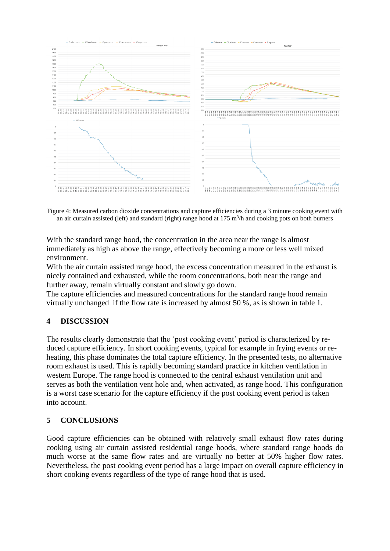

Figure 4: Measured carbon dioxide concentrations and capture efficiencies during a 3 minute cooking event with an air curtain assisted (left) and standard (right) range hood at  $175 \text{ m}^3/\text{h}$  and cooking pots on both burners

With the standard range hood, the concentration in the area near the range is almost immediately as high as above the range, effectively becoming a more or less well mixed environment.

With the air curtain assisted range hood, the excess concentration measured in the exhaust is nicely contained and exhausted, while the room concentrations, both near the range and further away, remain virtually constant and slowly go down.

The capture efficiencies and measured concentrations for the standard range hood remain virtually unchanged if the flow rate is increased by almost 50 %, as is shown in table 1.

### **4 DISCUSSION**

The results clearly demonstrate that the 'post cooking event' period is characterized by reduced capture efficiency. In short cooking events, typical for example in frying events or reheating, this phase dominates the total capture efficiency. In the presented tests, no alternative room exhaust is used. This is rapidly becoming standard practice in kitchen ventilation in western Europe. The range hood is connected to the central exhaust ventilation unit and serves as both the ventilation vent hole and, when activated, as range hood. This configuration is a worst case scenario for the capture efficiency if the post cooking event period is taken into account.

### **5 CONCLUSIONS**

Good capture efficiencies can be obtained with relatively small exhaust flow rates during cooking using air curtain assisted residential range hoods, where standard range hoods do much worse at the same flow rates and are virtually no better at 50% higher flow rates. Nevertheless, the post cooking event period has a large impact on overall capture efficiency in short cooking events regardless of the type of range hood that is used.